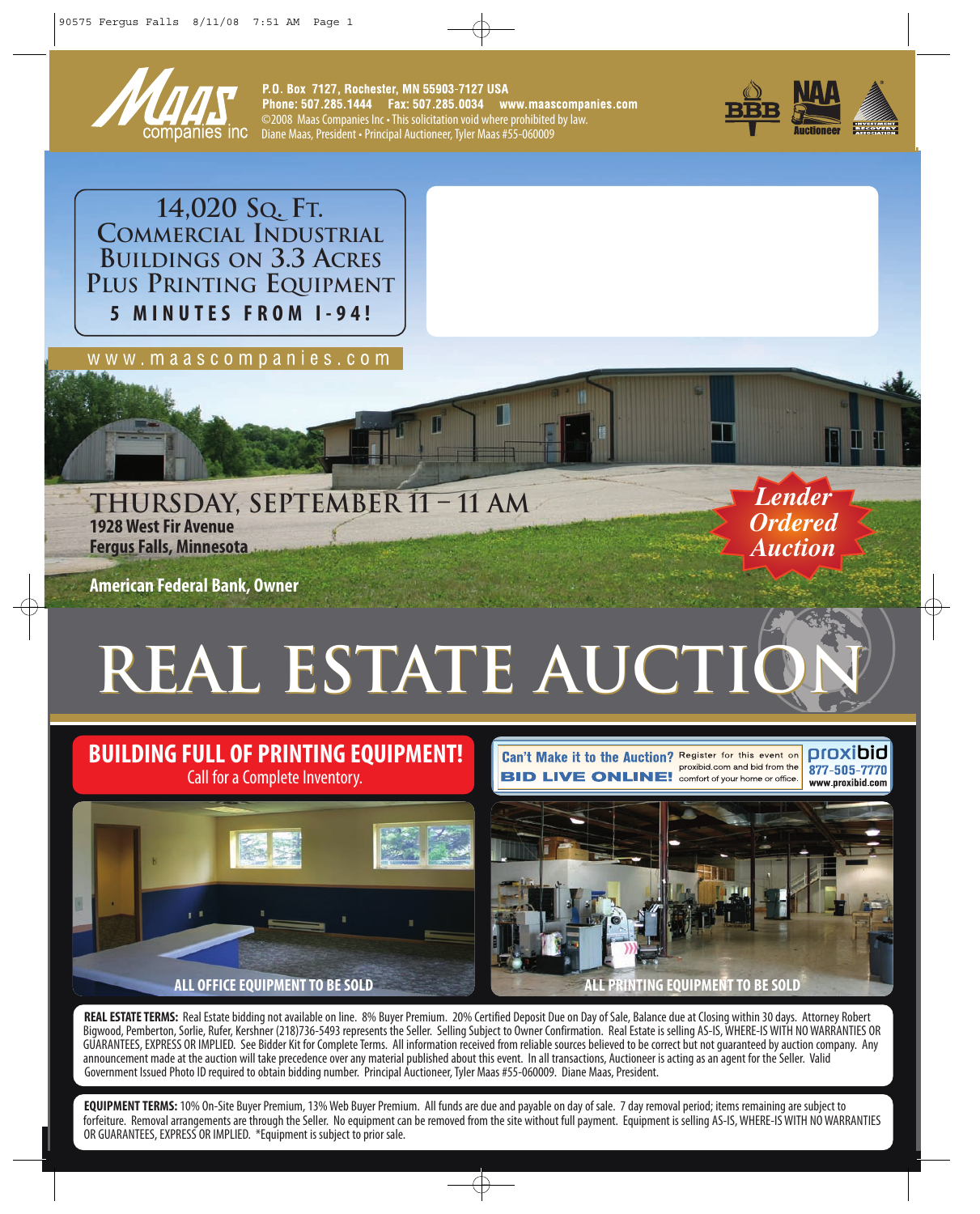

P.O. Box 7127, Rochester, MN 55903-7127 USA ©2008 Maas Companies Inc • This solicitation void where prohibited by law. Diane Maas, President • Principal Auctioneer, Tyler Maas #55-060009



**14,020 SQ. FT. COMMERCIAL INDUSTRIAL BUILDINGS ON 3.3 ACRES PLUS PRINTING EQUIPMENT 5 MINUTES FROM I-94!**

w w w . m a a s c o m p a n i e s . c o m

**THURSDAY, SEPTEMBER 11 – 11 AM 1928 West Fir Avenue Fergus Falls, Minnesota**

**American Federal Bank, Owner**

# **REAL ESTATE AUCTIO**

#### **BUILDING FULL OF PRINTING EQUIPMENT!** Call for a Complete Inventory.

Can't Make it to the Auction? Register for this event on proxibid.com and bid from the **BID LIVE ONLINE!** comfort of your home or office

oroxibid 877-505-7770 www.proxibid.com

*Lender Ordered Auction*



**REAL ESTATE TERMS:** Real Estate bidding not available on line. 8% Buyer Premium. 20% Certified Deposit Due on Day of Sale, Balance due at Closing within 30 days. Attorney Robert Bigwood, Pemberton, Sorlie, Rufer, Kershner (218)736-5493 represents the Seller. Selling Subject to Owner Confirmation. Real Estate is selling AS-IS, WHERE-IS WITH NO WARRANTIES OR GUARANTEES, EXPRESS OR IMPLIED. See Bidder Kit for Complete Terms. All information received from reliable sources believed to be correct but not guaranteed by auction company. Any announcement made at the auction will take precedence over any material published about this event. In all transactions, Auctioneer is acting as an agent for the Seller. Valid Government Issued Photo ID required to obtain bidding number. Principal Auctioneer, Tyler Maas #55-060009. Diane Maas, President.

**EQUIPMENT TERMS:** 10% On-Site Buyer Premium, 13% Web Buyer Premium. All funds are due and payable on day of sale. 7 day removal period; items remaining are subject to forfeiture. Removal arrangements are through the Seller. No equipment can be removed from the site without full payment. Equipment is selling AS-IS, WHERE-IS WITH NO WARRANTIES OR GUARANTEES, EXPRESS OR IMPLIED. \*Equipment is subject to prior sale.